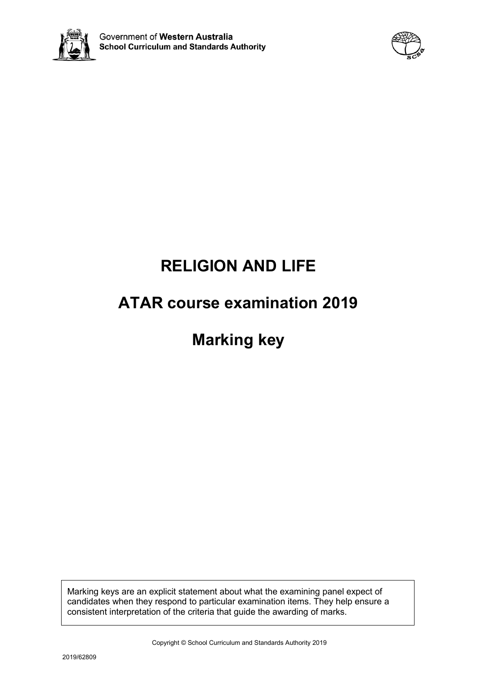



# **RELIGION AND LIFE**

# **ATAR course examination 2019**

# **Marking key**

Marking keys are an explicit statement about what the examining panel expect of candidates when they respond to particular examination items. They help ensure a consistent interpretation of the criteria that guide the awarding of marks.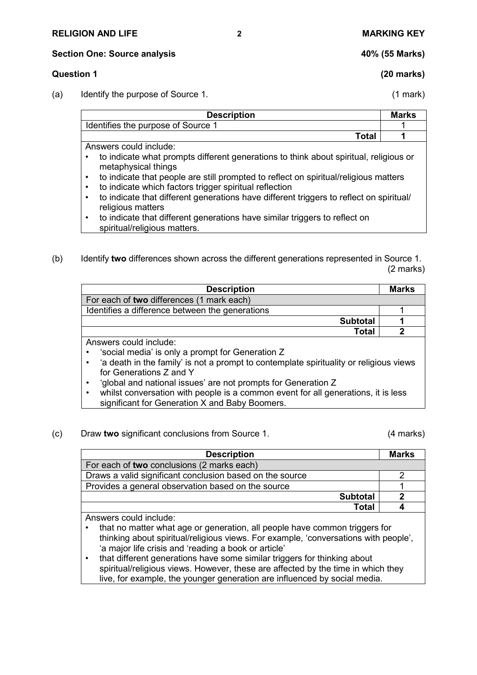### **RELIGION AND LIFE 2 MARKING KEY**

**Section One: Source analysis 40% (55 Marks)**

### **Question 1 (20 marks)**

(a) Identify the purpose of Source 1. (1 mark)

| <b>Description</b>                                                                                                                                                                                                                                                                       | <b>Marks</b> |
|------------------------------------------------------------------------------------------------------------------------------------------------------------------------------------------------------------------------------------------------------------------------------------------|--------------|
| Identifies the purpose of Source 1                                                                                                                                                                                                                                                       |              |
| Total                                                                                                                                                                                                                                                                                    |              |
| Answers could include:                                                                                                                                                                                                                                                                   |              |
| to indicate what prompts different generations to think about spiritual, religious or<br>metaphysical things<br>to indicate that people are still prompted to reflect on spiritual/religious matters<br>$\bullet$<br>to indicate which factors trigger spiritual reflection<br>$\bullet$ |              |
| to indicate that different generations have different triggers to reflect on spiritual/<br>$\bullet$                                                                                                                                                                                     |              |
| religious matters<br>to indicate that different generations have similar triggers to reflect on<br>$\bullet$                                                                                                                                                                             |              |

- spiritual/religious matters.
- (b) Identify **two** differences shown across the different generations represented in Source 1. (2 marks)

| <b>Description</b>                               |                 | Marks |
|--------------------------------------------------|-----------------|-------|
| For each of two differences (1 mark each)        |                 |       |
| Identifies a difference between the generations  |                 |       |
|                                                  | <b>Subtotal</b> |       |
|                                                  | <b>Total</b>    | כי    |
| Answers could include:                           |                 |       |
| 'social media' is only a prompt for Generation Z |                 |       |

- 'a death in the family' is not a prompt to contemplate spirituality or religious views for Generations Z and Y
- 'global and national issues' are not prompts for Generation Z
- whilst conversation with people is a common event for all generations, it is less significant for Generation X and Baby Boomers.
- (c) Draw **two** significant conclusions from Source 1. (4 marks)

| <b>Description</b>                                       | <b>Marks</b> |
|----------------------------------------------------------|--------------|
| For each of two conclusions (2 marks each)               |              |
| Draws a valid significant conclusion based on the source |              |
| Provides a general observation based on the source       |              |
| <b>Subtotal</b>                                          |              |
| Total                                                    |              |

Answers could include:

- that no matter what age or generation, all people have common triggers for thinking about spiritual/religious views. For example, 'conversations with people', 'a major life crisis and 'reading a book or article'
- that different generations have some similar triggers for thinking about spiritual/religious views. However, these are affected by the time in which they live, for example, the younger generation are influenced by social media.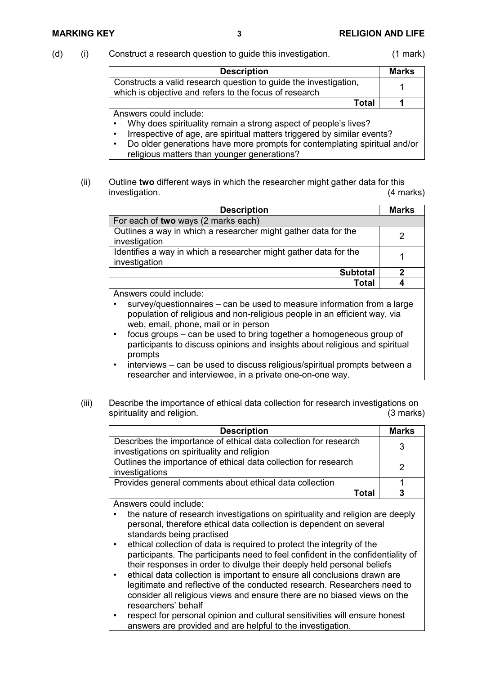### (d) (i) Construct a research question to guide this investigation. (1 mark)

| <b>Description</b>                                                                                                                                                                                                                                                          | <b>Marks</b> |
|-----------------------------------------------------------------------------------------------------------------------------------------------------------------------------------------------------------------------------------------------------------------------------|--------------|
| Constructs a valid research question to guide the investigation,<br>which is objective and refers to the focus of research                                                                                                                                                  |              |
| Total                                                                                                                                                                                                                                                                       |              |
| Answers could include:<br>Why does spirituality remain a strong aspect of people's lives?<br>$\bullet$<br>Irrespective of age, are spiritual matters triggered by similar events?<br>$\bullet$<br>De elder generations have mere prempts for contemplating spiritual and/or |              |

- Do older generations have more prompts for contemplating spiritual and/or religious matters than younger generations?
- (ii) Outline **two** different ways in which the researcher might gather data for this investigation. (4 marks)

| <b>Description</b>                                                                | <b>Marks</b> |
|-----------------------------------------------------------------------------------|--------------|
| For each of two ways (2 marks each)                                               |              |
| Outlines a way in which a researcher might gather data for the<br>investigation   |              |
| Identifies a way in which a researcher might gather data for the<br>investigation |              |
| <b>Subtotal</b>                                                                   |              |
| Total                                                                             |              |

Answers could include:

- survey/questionnaires can be used to measure information from a large population of religious and non-religious people in an efficient way, via web, email, phone, mail or in person
- focus groups can be used to bring together a homogeneous group of participants to discuss opinions and insights about religious and spiritual prompts
- interviews can be used to discuss religious/spiritual prompts between a researcher and interviewee, in a private one-on-one way.
- (iii) Describe the importance of ethical data collection for research investigations on<br>spirituality and religion. spirituality and religion.

| <b>Description</b>                                                                                                                                                                                                                                                                                                                                                                                                                                                                                                                          | <b>Marks</b> |
|---------------------------------------------------------------------------------------------------------------------------------------------------------------------------------------------------------------------------------------------------------------------------------------------------------------------------------------------------------------------------------------------------------------------------------------------------------------------------------------------------------------------------------------------|--------------|
| Describes the importance of ethical data collection for research<br>investigations on spirituality and religion                                                                                                                                                                                                                                                                                                                                                                                                                             | 3            |
| Outlines the importance of ethical data collection for research<br>investigations                                                                                                                                                                                                                                                                                                                                                                                                                                                           | 2            |
| Provides general comments about ethical data collection                                                                                                                                                                                                                                                                                                                                                                                                                                                                                     |              |
| <b>Total</b>                                                                                                                                                                                                                                                                                                                                                                                                                                                                                                                                | 3            |
| Answers could include:<br>the nature of research investigations on spirituality and religion are deeply<br>personal, therefore ethical data collection is dependent on several<br>standards being practised<br>ethical collection of data is required to protect the integrity of the<br>$\bullet$<br>participants. The participants need to feel confident in the confidentiality of<br>their responses in order to divulge their deeply held personal beliefs<br>ethical data collection is important to ensure all conclusions drawn are |              |

- ethical data collection is important to ensure all conclusions drawn are legitimate and reflective of the conducted research. Researchers need to consider all religious views and ensure there are no biased views on the researchers' behalf
- respect for personal opinion and cultural sensitivities will ensure honest answers are provided and are helpful to the investigation.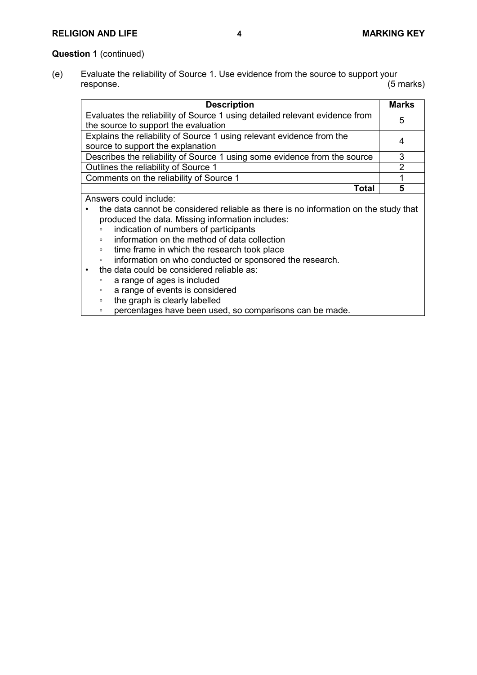# **RELIGION AND LIFE 4 MARKING KEY**

## **Question 1** (continued)

(e) Evaluate the reliability of Source 1. Use evidence from the source to support your<br>response. (5 marks) response. (5 marks)

| <b>Description</b>                                                                  | <b>Marks</b> |
|-------------------------------------------------------------------------------------|--------------|
| Evaluates the reliability of Source 1 using detailed relevant evidence from         | 5            |
| the source to support the evaluation                                                |              |
| Explains the reliability of Source 1 using relevant evidence from the               |              |
| source to support the explanation                                                   |              |
| Describes the reliability of Source 1 using some evidence from the source           | 3            |
| Outlines the reliability of Source 1                                                | 2            |
| Comments on the reliability of Source 1                                             |              |
| Total                                                                               | 5            |
| Answers could include:                                                              |              |
| the data cannot be considered reliable as there is no information on the study that |              |

- produced the data. Missing information includes:
- indication of numbers of participants
- information on the method of data collection
- time frame in which the research took place<br>◦ information on who conducted or sponsored
- information on who conducted or sponsored the research.
- the data could be considered reliable as:
	- a range of ages is included
	- a range of events is considered
	- the graph is clearly labelled
	- percentages have been used, so comparisons can be made.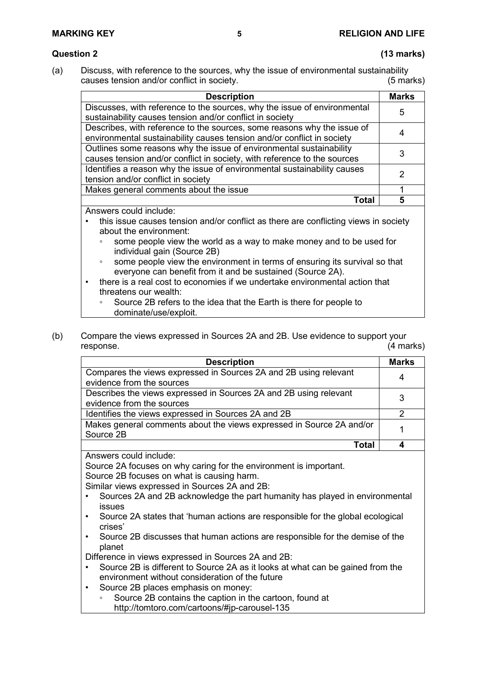# **Question 2 (13 marks)**

(a) Discuss, with reference to the sources, why the issue of environmental sustainability causes tension and/or conflict in society. (5 marks)

| <b>Description</b>                                                                                                                                | <b>Marks</b> |
|---------------------------------------------------------------------------------------------------------------------------------------------------|--------------|
| Discusses, with reference to the sources, why the issue of environmental<br>sustainability causes tension and/or conflict in society              | 5            |
| Describes, with reference to the sources, some reasons why the issue of<br>environmental sustainability causes tension and/or conflict in society |              |
| Outlines some reasons why the issue of environmental sustainability<br>causes tension and/or conflict in society, with reference to the sources   |              |
| Identifies a reason why the issue of environmental sustainability causes<br>tension and/or conflict in society                                    |              |
| Makes general comments about the issue                                                                                                            |              |
| Tota <sup>r</sup>                                                                                                                                 |              |

Answers could include:

- this issue causes tension and/or conflict as there are conflicting views in society about the environment:
	- some people view the world as a way to make money and to be used for individual gain (Source 2B)
	- some people view the environment in terms of ensuring its survival so that everyone can benefit from it and be sustained (Source 2A).
- there is a real cost to economies if we undertake environmental action that threatens our wealth:
	- Source 2B refers to the idea that the Earth is there for people to dominate/use/exploit.
- (b) Compare the views expressed in Sources 2A and 2B. Use evidence to support your response. (4 marks)

| <b>Description</b>                                                                             | <b>Marks</b> |
|------------------------------------------------------------------------------------------------|--------------|
| Compares the views expressed in Sources 2A and 2B using relevant<br>evidence from the sources  | 4            |
| Describes the views expressed in Sources 2A and 2B using relevant<br>evidence from the sources | 3            |
| Identifies the views expressed in Sources 2A and 2B                                            |              |
| Makes general comments about the views expressed in Source 2A and/or<br>Source 2B              |              |
| Tota                                                                                           |              |

Answers could include:

Source 2A focuses on why caring for the environment is important.

Source 2B focuses on what is causing harm.

Similar views expressed in Sources 2A and 2B:

- Sources 2A and 2B acknowledge the part humanity has played in environmental issues
- Source 2A states that 'human actions are responsible for the global ecological crises'
- Source 2B discusses that human actions are responsible for the demise of the planet

Difference in views expressed in Sources 2A and 2B:

- Source 2B is different to Source 2A as it looks at what can be gained from the environment without consideration of the future
- Source 2B places emphasis on money:
	- Source 2B contains the caption in the cartoon, found at http://tomtoro.com/cartoons/#jp-carousel-135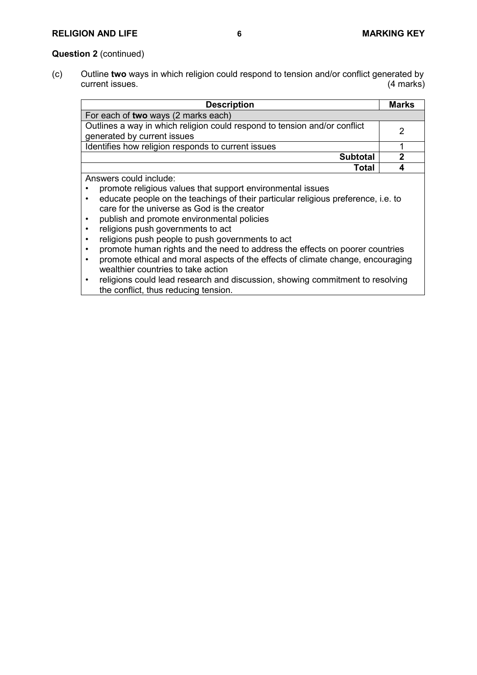# **RELIGION AND LIFE 6 MARKING KEY**

### **Question 2** (continued)

(c) Outline **two** ways in which religion could respond to tension and/or conflict generated by current issues.

| <b>Description</b>                                                                                                                                                                                                                                                                                          | <b>Marks</b> |
|-------------------------------------------------------------------------------------------------------------------------------------------------------------------------------------------------------------------------------------------------------------------------------------------------------------|--------------|
| For each of two ways (2 marks each)                                                                                                                                                                                                                                                                         |              |
| Outlines a way in which religion could respond to tension and/or conflict<br>generated by current issues                                                                                                                                                                                                    | 2            |
| Identifies how religion responds to current issues                                                                                                                                                                                                                                                          |              |
| <b>Subtotal</b>                                                                                                                                                                                                                                                                                             | 2            |
| Total                                                                                                                                                                                                                                                                                                       |              |
| Answers could include:<br>promote religious values that support environmental issues<br>educate people on the teachings of their particular religious preference, i.e. to<br>care for the universe as God is the creator<br>publish and promote environmental policies<br>religions push governments to act |              |

- religions push people to push governments to act
- promote human rights and the need to address the effects on poorer countries<br>• promote ethical and moral aspects of the effects of climate change, encouragin
- promote ethical and moral aspects of the effects of climate change, encouraging wealthier countries to take action
- religions could lead research and discussion, showing commitment to resolving the conflict, thus reducing tension.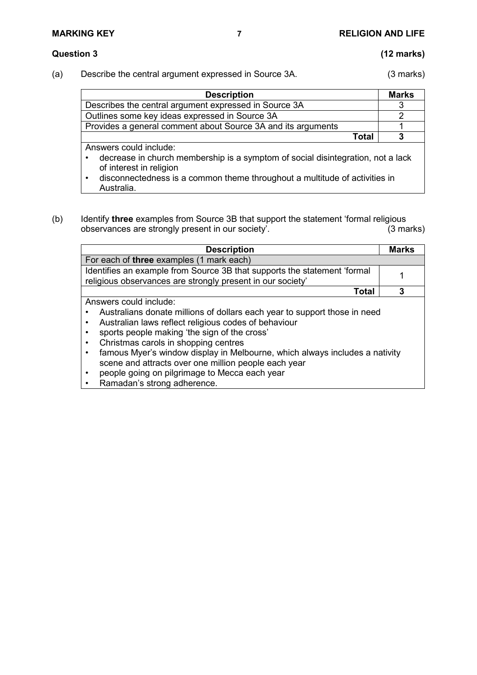Australia.

### **Question 3 (12 marks)**

(a) Describe the central argument expressed in Source 3A. (3 marks)

| <b>Description</b>                                                              | <b>Marks</b> |
|---------------------------------------------------------------------------------|--------------|
| Describes the central argument expressed in Source 3A                           |              |
| Outlines some key ideas expressed in Source 3A                                  | 2            |
| Provides a general comment about Source 3A and its arguments                    |              |
| Total                                                                           | 3            |
| Answers could include:                                                          |              |
| decrease in church membership is a symptom of social disintegration, not a lack |              |
| of interest in religion                                                         |              |
| disconnectedness is a common theme throughout a multitude of activities in      |              |

(b) Identify **three** examples from Source 3B that support the statement 'formal religious observances are strongly present in our society'.

| <b>Description</b>                                                                                                                                                                                                                                                                                                                                                                                                                                                                                                             | <b>Marks</b> |
|--------------------------------------------------------------------------------------------------------------------------------------------------------------------------------------------------------------------------------------------------------------------------------------------------------------------------------------------------------------------------------------------------------------------------------------------------------------------------------------------------------------------------------|--------------|
| For each of three examples (1 mark each)                                                                                                                                                                                                                                                                                                                                                                                                                                                                                       |              |
| Identifies an example from Source 3B that supports the statement 'formal<br>religious observances are strongly present in our society'                                                                                                                                                                                                                                                                                                                                                                                         |              |
| Total                                                                                                                                                                                                                                                                                                                                                                                                                                                                                                                          | 3            |
| Answers could include:<br>Australians donate millions of dollars each year to support those in need<br>Australian laws reflect religious codes of behaviour<br>$\bullet$<br>sports people making 'the sign of the cross'<br>Christmas carols in shopping centres<br>$\bullet$<br>famous Myer's window display in Melbourne, which always includes a nativity<br>$\bullet$<br>scene and attracts over one million people each year<br>people going on pilgrimage to Mecca each year<br>$\bullet$<br>Ramadan's strong adherence. |              |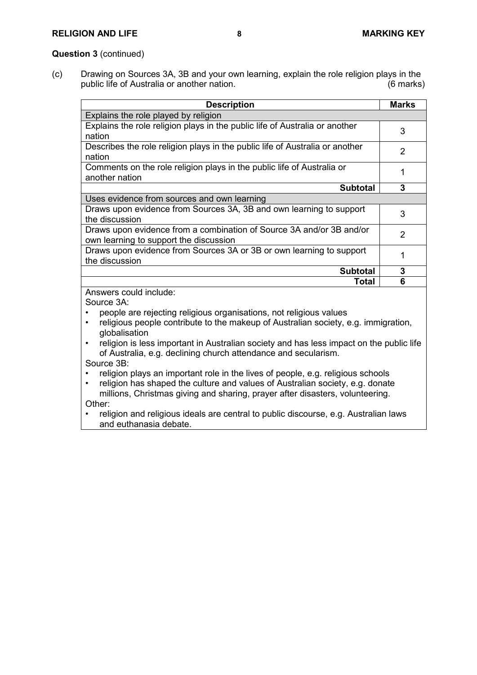## **RELIGION AND LIFE 8 MARKING KEY**

#### **Question 3** (continued)

(c) Drawing on Sources 3A, 3B and your own learning, explain the role religion plays in the public life of Australia or another nation. (6 marks)

| <b>Description</b>                                                                                             | <b>Marks</b>  |
|----------------------------------------------------------------------------------------------------------------|---------------|
| Explains the role played by religion                                                                           |               |
| Explains the role religion plays in the public life of Australia or another<br>nation                          | 3             |
| Describes the role religion plays in the public life of Australia or another<br>nation                         | 2             |
| Comments on the role religion plays in the public life of Australia or<br>another nation                       |               |
| <b>Subtotal</b>                                                                                                | 3             |
| Uses evidence from sources and own learning                                                                    |               |
| Draws upon evidence from Sources 3A, 3B and own learning to support<br>the discussion                          | 3             |
| Draws upon evidence from a combination of Source 3A and/or 3B and/or<br>own learning to support the discussion | $\mathcal{P}$ |
| Draws upon evidence from Sources 3A or 3B or own learning to support<br>the discussion                         |               |
| <b>Subtotal</b>                                                                                                | 3             |
| Total                                                                                                          | 6             |

Answers could include:

Source 3A:

- people are rejecting religious organisations, not religious values
- religious people contribute to the makeup of Australian society, e.g. immigration, globalisation
- religion is less important in Australian society and has less impact on the public life of Australia, e.g. declining church attendance and secularism. Source 3B:
- religion plays an important role in the lives of people, e.g. religious schools
- religion has shaped the culture and values of Australian society, e.g. donate millions, Christmas giving and sharing, prayer after disasters, volunteering.
- Other:
- religion and religious ideals are central to public discourse, e.g. Australian laws and euthanasia debate.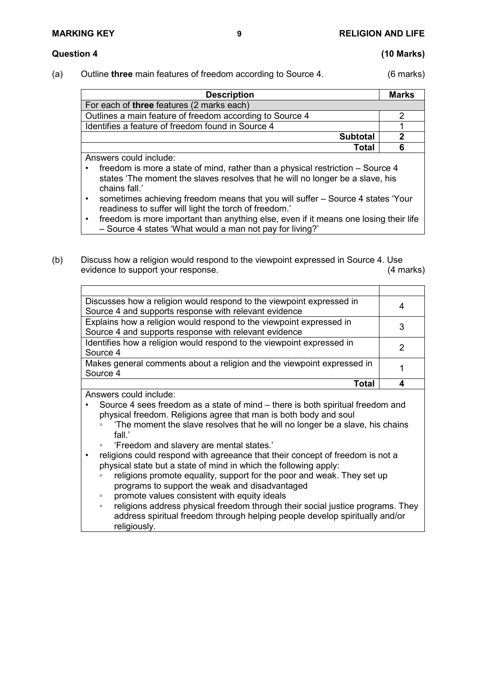## **Question 4 (10 Marks)**

(a) Outline **three** main features of freedom according to Source 4. (6 marks)

| <b>Description</b>                                       | <b>Marks</b> |
|----------------------------------------------------------|--------------|
| For each of three features (2 marks each)                |              |
| Outlines a main feature of freedom according to Source 4 |              |
| Identifies a feature of freedom found in Source 4        |              |
| <b>Subtotal</b>                                          |              |
| Total                                                    |              |

Answers could include:

- freedom is more a state of mind, rather than a physical restriction Source 4 states 'The moment the slaves resolves that he will no longer be a slave, his chains fall.'
- sometimes achieving freedom means that you will suffer Source 4 states 'Your readiness to suffer will light the torch of freedom.'
- freedom is more important than anything else, even if it means one losing their life – Source 4 states 'What would a man not pay for living?'
- (b) Discuss how a religion would respond to the viewpoint expressed in Source 4. Use evidence to support your response. (4 marks)

| Discusses how a religion would respond to the viewpoint expressed in   |  |
|------------------------------------------------------------------------|--|
| Source 4 and supports response with relevant evidence                  |  |
| Explains how a religion would respond to the viewpoint expressed in    |  |
| Source 4 and supports response with relevant evidence                  |  |
| Identifies how a religion would respond to the viewpoint expressed in  |  |
| Source 4                                                               |  |
| Makes general comments about a religion and the viewpoint expressed in |  |
| Source 4                                                               |  |
| Tota                                                                   |  |

Answers could include:

- Source 4 sees freedom as a state of mind there is both spiritual freedom and physical freedom. Religions agree that man is both body and soul
	- 'The moment the slave resolves that he will no longer be a slave, his chains fall<sup>'</sup>
	- 'Freedom and slavery are mental states.'
- religions could respond with agreeance that their concept of freedom is not a physical state but a state of mind in which the following apply:
	- religions promote equality, support for the poor and weak. They set up programs to support the weak and disadvantaged
	- promote values consistent with equity ideals
	- religions address physical freedom through their social justice programs. They address spiritual freedom through helping people develop spiritually and/or religiously.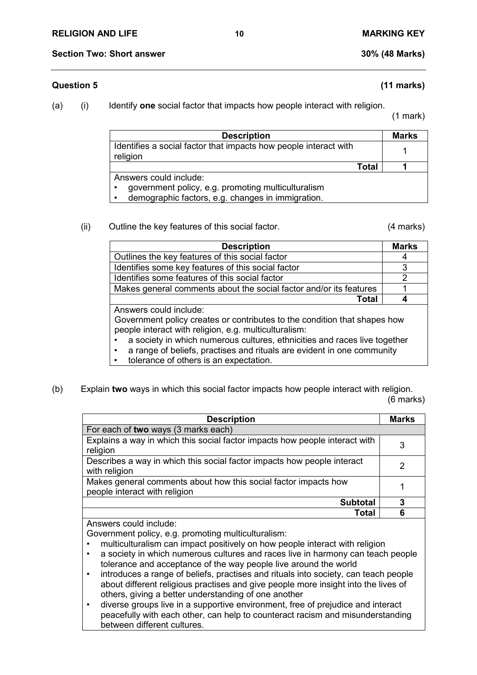# **Question 5 (11 marks)**

(a) (i) Identify **one** social factor that impacts how people interact with religion.

(1 mark)

| <b>Description</b>                                                                                                                             | <b>Marks</b> |
|------------------------------------------------------------------------------------------------------------------------------------------------|--------------|
| Identifies a social factor that impacts how people interact with<br>religion                                                                   |              |
| <b>Total</b>                                                                                                                                   |              |
| Answers could include:<br>government policy, e.g. promoting multiculturalism<br>demographic factors, e.g. changes in immigration.<br>$\bullet$ |              |

#### (ii) Outline the key features of this social factor. (4 marks)

| <b>Description</b>                                                                                                                 | <b>Marks</b> |
|------------------------------------------------------------------------------------------------------------------------------------|--------------|
| Outlines the key features of this social factor                                                                                    |              |
| Identifies some key features of this social factor                                                                                 | 3            |
| Identifies some features of this social factor                                                                                     |              |
| Makes general comments about the social factor and/or its features                                                                 |              |
| <b>Total</b>                                                                                                                       |              |
| Answers could include:                                                                                                             |              |
| Government policy creates or contributes to the condition that shapes how<br>people interact with religion, e.g. multiculturalism: |              |

- a society in which numerous cultures, ethnicities and races live together
	- a range of beliefs, practises and rituals are evident in one community
- tolerance of others is an expectation.
- (b) Explain **two** ways in which this social factor impacts how people interact with religion. (6 marks)

| <b>Description</b>                                                                               | <b>Marks</b> |
|--------------------------------------------------------------------------------------------------|--------------|
| For each of two ways (3 marks each)                                                              |              |
| Explains a way in which this social factor impacts how people interact with<br>religion          | 3            |
| Describes a way in which this social factor impacts how people interact<br>with religion         | 2            |
| Makes general comments about how this social factor impacts how<br>people interact with religion |              |
| <b>Subtotal</b>                                                                                  | 3            |
| Total                                                                                            |              |

Answers could include:

Government policy, e.g. promoting multiculturalism:

- multiculturalism can impact positively on how people interact with religion
- a society in which numerous cultures and races live in harmony can teach people tolerance and acceptance of the way people live around the world
- introduces a range of beliefs, practises and rituals into society, can teach people about different religious practises and give people more insight into the lives of others, giving a better understanding of one another
- diverse groups live in a supportive environment, free of prejudice and interact peacefully with each other, can help to counteract racism and misunderstanding between different cultures.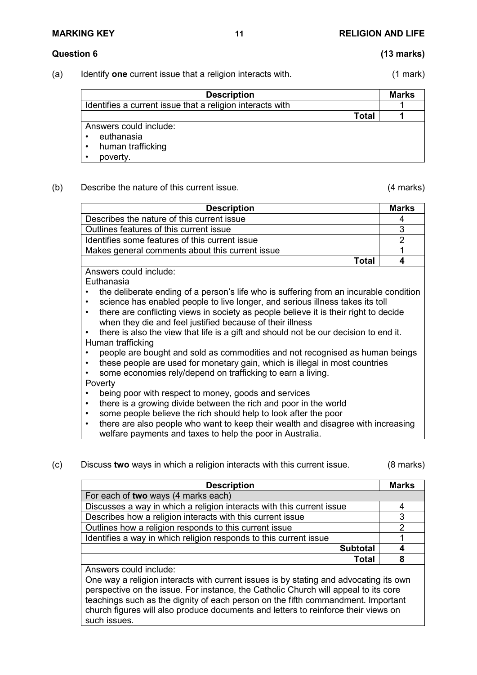# **Question 6 (13 marks)**

(a) Identify **one** current issue that a religion interacts with. (1 mark)

| <b>Description</b>                                        | <b>Marks</b> |
|-----------------------------------------------------------|--------------|
| Identifies a current issue that a religion interacts with |              |
| Total                                                     |              |
| Answers could include:                                    |              |
| euthanasia                                                |              |
| human trafficking                                         |              |
| poverty.                                                  |              |

### (b) Describe the nature of this current issue. (4 marks)

| <b>Description</b>                                                                                | <b>Marks</b> |
|---------------------------------------------------------------------------------------------------|--------------|
| Describes the nature of this current issue                                                        |              |
| Outlines features of this current issue                                                           | 3            |
| Identifies some features of this current issue                                                    |              |
| Makes general comments about this current issue                                                   |              |
| Total                                                                                             |              |
| Answers could include:                                                                            |              |
| Euthanasia                                                                                        |              |
| the deliberate ending of a person's life who is suffering from an incurable condition             |              |
| science has enabled people to live longer, and serious illness takes its toll<br>$\bullet$        |              |
| there are conflicting views in society as people believe it is their right to decide<br>$\bullet$ |              |

- when they die and feel justified because of their illness
- there is also the view that life is a gift and should not be our decision to end it. Human trafficking
- people are bought and sold as commodities and not recognised as human beings
- these people are used for monetary gain, which is illegal in most countries
- some economies rely/depend on trafficking to earn a living.
- Poverty
- being poor with respect to money, goods and services
- there is a growing divide between the rich and poor in the world
- some people believe the rich should help to look after the poor
- there are also people who want to keep their wealth and disagree with increasing welfare payments and taxes to help the poor in Australia.
- (c) Discuss **two** ways in which a religion interacts with this current issue. (8 marks)

| <b>Description</b>                                                                    | <b>Marks</b> |
|---------------------------------------------------------------------------------------|--------------|
| For each of two ways (4 marks each)                                                   |              |
| Discusses a way in which a religion interacts with this current issue                 |              |
| Describes how a religion interacts with this current issue                            | 3            |
| Outlines how a religion responds to this current issue                                |              |
| Identifies a way in which religion responds to this current issue                     |              |
| <b>Subtotal</b>                                                                       |              |
| <b>Total</b>                                                                          | 8            |
| Answers could include:                                                                |              |
| One way a religion interests with evroped issues is by stating and advenation its sum |              |

One way a religion interacts with current issues is by stating and advocating its own perspective on the issue. For instance, the Catholic Church will appeal to its core teachings such as the dignity of each person on the fifth commandment. Important church figures will also produce documents and letters to reinforce their views on such issues.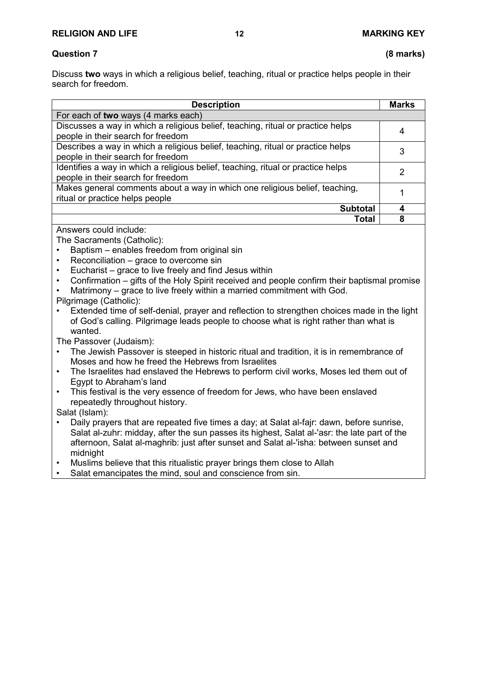# **Question 7 (8 marks)**

Discuss **two** ways in which a religious belief, teaching, ritual or practice helps people in their search for freedom.

| <b>Description</b>                                                                                                     | <b>Marks</b> |
|------------------------------------------------------------------------------------------------------------------------|--------------|
| For each of two ways (4 marks each)                                                                                    |              |
| Discusses a way in which a religious belief, teaching, ritual or practice helps<br>people in their search for freedom  | 4            |
| Describes a way in which a religious belief, teaching, ritual or practice helps<br>people in their search for freedom  | 3            |
| Identifies a way in which a religious belief, teaching, ritual or practice helps<br>people in their search for freedom | 2            |
| Makes general comments about a way in which one religious belief, teaching,<br>ritual or practice helps people         |              |
| <b>Subtotal</b>                                                                                                        |              |
| <b>Total</b>                                                                                                           | 8            |

Answers could include:

The Sacraments (Catholic):

- Baptism enables freedom from original sin
- Reconciliation grace to overcome sin
- Eucharist grace to live freely and find Jesus within
- Confirmation gifts of the Holy Spirit received and people confirm their baptismal promise
- Matrimony grace to live freely within a married commitment with God.

Pilgrimage (Catholic):

• Extended time of self-denial, prayer and reflection to strengthen choices made in the light of God's calling. Pilgrimage leads people to choose what is right rather than what is wanted.

The Passover (Judaism):

- The Jewish Passover is steeped in historic ritual and tradition, it is in remembrance of Moses and how he freed the Hebrews from Israelites
- The Israelites had enslaved the Hebrews to perform civil works, Moses led them out of Egypt to Abraham's land
- This festival is the very essence of freedom for Jews, who have been enslaved repeatedly throughout history.

Salat (Islam):

- Daily prayers that are repeated five times a day; at Salat al-fajr: dawn, before sunrise, Salat al-zuhr: midday, after the sun passes its highest, Salat al-'asr: the late part of the afternoon, Salat al-maghrib: just after sunset and Salat al-'isha: between sunset and midnight
- Muslims believe that this ritualistic prayer brings them close to Allah
- Salat emancipates the mind, soul and conscience from sin.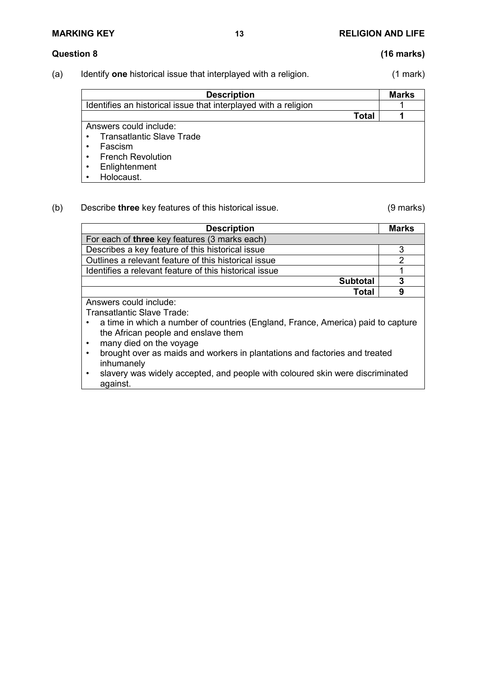# **MARKING KEY 13 RELIGION AND LIFE**

# **Question 8 (16 marks)**

(a) Identify **one** historical issue that interplayed with a religion. (1 mark)

| <b>Description</b>                                              | <b>Marks</b> |
|-----------------------------------------------------------------|--------------|
| Identifies an historical issue that interplayed with a religion |              |
| <b>Total</b>                                                    |              |
| Answers could include:                                          |              |
| Transatlantic Slave Trade<br>$\bullet$                          |              |
| Fascism<br>$\bullet$                                            |              |
| <b>French Revolution</b><br>$\bullet$                           |              |
| Enlightenment<br>$\bullet$                                      |              |
| Holocaust.                                                      |              |

# (b) Describe **three** key features of this historical issue. (9 marks)

| <b>Description</b>                                                               | <b>Marks</b>   |
|----------------------------------------------------------------------------------|----------------|
| For each of three key features (3 marks each)                                    |                |
| Describes a key feature of this historical issue                                 | 3              |
| Outlines a relevant feature of this historical issue                             | $\mathfrak{p}$ |
| Identifies a relevant feature of this historical issue                           |                |
| <b>Subtotal</b>                                                                  | 3              |
| <b>Total</b>                                                                     | 9              |
| Answers could include:                                                           |                |
| Transatlantic Slave Trade:                                                       |                |
| a time in which a number of countries (England, France, America) paid to capture |                |
| the African people and enslave them                                              |                |
| many died on the voyage                                                          |                |
| brought over as maids and workers in plantations and factories and treated       |                |
| inhumanely                                                                       |                |
| slavery was widely accepted, and people with coloured skin were discriminated    |                |
| against.                                                                         |                |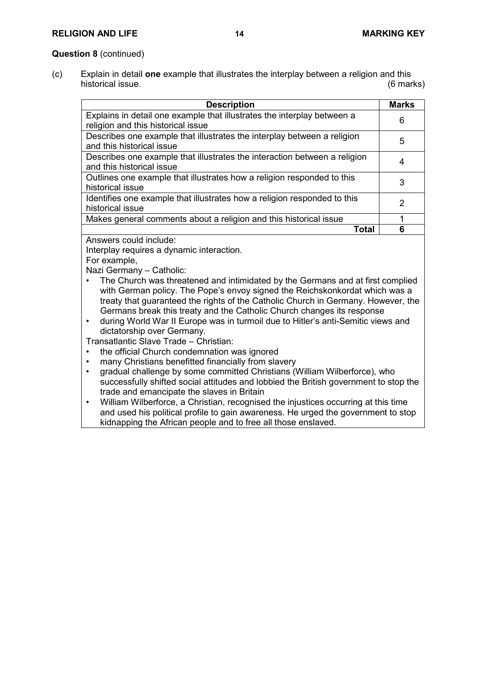# **RELIGION AND LIFE 14 MARKING KEY**

### **Question 8** (continued)

(c) Explain in detail **one** example that illustrates the interplay between a religion and this historical issue.

| <b>Description</b>                                                                                                                                                                                                                                                                                                                                                                                                                                                                                                                                                                                                                                                                                                                                                                                                                                                                      | <b>Marks</b>   |  |  |
|-----------------------------------------------------------------------------------------------------------------------------------------------------------------------------------------------------------------------------------------------------------------------------------------------------------------------------------------------------------------------------------------------------------------------------------------------------------------------------------------------------------------------------------------------------------------------------------------------------------------------------------------------------------------------------------------------------------------------------------------------------------------------------------------------------------------------------------------------------------------------------------------|----------------|--|--|
| Explains in detail one example that illustrates the interplay between a<br>religion and this historical issue                                                                                                                                                                                                                                                                                                                                                                                                                                                                                                                                                                                                                                                                                                                                                                           | 6              |  |  |
| Describes one example that illustrates the interplay between a religion<br>and this historical issue                                                                                                                                                                                                                                                                                                                                                                                                                                                                                                                                                                                                                                                                                                                                                                                    | 5              |  |  |
| Describes one example that illustrates the interaction between a religion<br>and this historical issue                                                                                                                                                                                                                                                                                                                                                                                                                                                                                                                                                                                                                                                                                                                                                                                  | 4              |  |  |
| Outlines one example that illustrates how a religion responded to this<br>historical issue                                                                                                                                                                                                                                                                                                                                                                                                                                                                                                                                                                                                                                                                                                                                                                                              | 3              |  |  |
| Identifies one example that illustrates how a religion responded to this<br>historical issue                                                                                                                                                                                                                                                                                                                                                                                                                                                                                                                                                                                                                                                                                                                                                                                            | $\overline{2}$ |  |  |
| Makes general comments about a religion and this historical issue                                                                                                                                                                                                                                                                                                                                                                                                                                                                                                                                                                                                                                                                                                                                                                                                                       | 1              |  |  |
| <b>Total</b>                                                                                                                                                                                                                                                                                                                                                                                                                                                                                                                                                                                                                                                                                                                                                                                                                                                                            | 6              |  |  |
| Interplay requires a dynamic interaction.<br>For example,<br>Nazi Germany - Catholic:<br>The Church was threatened and intimidated by the Germans and at first complied<br>with German policy. The Pope's envoy signed the Reichskonkordat which was a<br>treaty that guaranteed the rights of the Catholic Church in Germany. However, the<br>Germans break this treaty and the Catholic Church changes its response<br>during World War II Europe was in turmoil due to Hitler's anti-Semitic views and<br>$\bullet$<br>dictatorship over Germany.<br>Transatlantic Slave Trade - Christian:<br>the official Church condemnation was ignored<br>many Christians benefitted financially from slavery<br>gradual challenge by some committed Christians (William Wilberforce), who<br>$\bullet$<br>successfully shifted social attitudes and lobbied the British government to stop the |                |  |  |
| trade and emancipate the slaves in Britain<br>William Wilberforce, a Christian, recognised the injustices occurring at this time<br>$\bullet$                                                                                                                                                                                                                                                                                                                                                                                                                                                                                                                                                                                                                                                                                                                                           |                |  |  |

and used his political profile to gain awareness. He urged the government to stop kidnapping the African people and to free all those enslaved.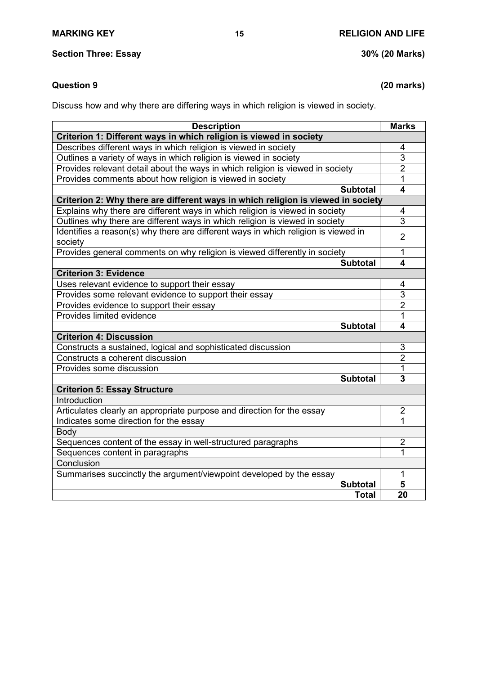# **Question 9 (20 marks)**

Discuss how and why there are differing ways in which religion is viewed in society.

| <b>Description</b>                                                                 |                 | <b>Marks</b>            |
|------------------------------------------------------------------------------------|-----------------|-------------------------|
| Criterion 1: Different ways in which religion is viewed in society                 |                 |                         |
| Describes different ways in which religion is viewed in society                    |                 | 4                       |
| Outlines a variety of ways in which religion is viewed in society                  |                 | 3                       |
| Provides relevant detail about the ways in which religion is viewed in society     |                 | $\overline{2}$          |
| Provides comments about how religion is viewed in society                          |                 | 1                       |
|                                                                                    | <b>Subtotal</b> | $\overline{\mathbf{4}}$ |
| Criterion 2: Why there are different ways in which religion is viewed in society   |                 |                         |
| Explains why there are different ways in which religion is viewed in society       |                 | 4                       |
| Outlines why there are different ways in which religion is viewed in society       |                 | 3                       |
| Identifies a reason(s) why there are different ways in which religion is viewed in |                 | $\overline{2}$          |
| society                                                                            |                 |                         |
| Provides general comments on why religion is viewed differently in society         |                 | 1                       |
|                                                                                    | <b>Subtotal</b> | 4                       |
| <b>Criterion 3: Evidence</b>                                                       |                 |                         |
| Uses relevant evidence to support their essay                                      |                 | 4                       |
| Provides some relevant evidence to support their essay                             |                 | 3                       |
| Provides evidence to support their essay                                           |                 | $\overline{2}$          |
| Provides limited evidence                                                          |                 | 1                       |
|                                                                                    | <b>Subtotal</b> | 4                       |
| <b>Criterion 4: Discussion</b>                                                     |                 |                         |
| Constructs a sustained, logical and sophisticated discussion                       |                 | 3                       |
| Constructs a coherent discussion                                                   |                 | $\overline{2}$          |
| Provides some discussion                                                           |                 | 1                       |
|                                                                                    | <b>Subtotal</b> | 3                       |
| <b>Criterion 5: Essay Structure</b>                                                |                 |                         |
| Introduction                                                                       |                 |                         |
| Articulates clearly an appropriate purpose and direction for the essay             |                 | $\overline{c}$          |
| Indicates some direction for the essay                                             |                 | 1                       |
| <b>Body</b>                                                                        |                 |                         |
| Sequences content of the essay in well-structured paragraphs                       |                 | $\overline{2}$          |
| Sequences content in paragraphs                                                    |                 | 1                       |
| Conclusion                                                                         |                 |                         |
| Summarises succinctly the argument/viewpoint developed by the essay                |                 | 1                       |
|                                                                                    | <b>Subtotal</b> | 5                       |
|                                                                                    | <b>Total</b>    | 20                      |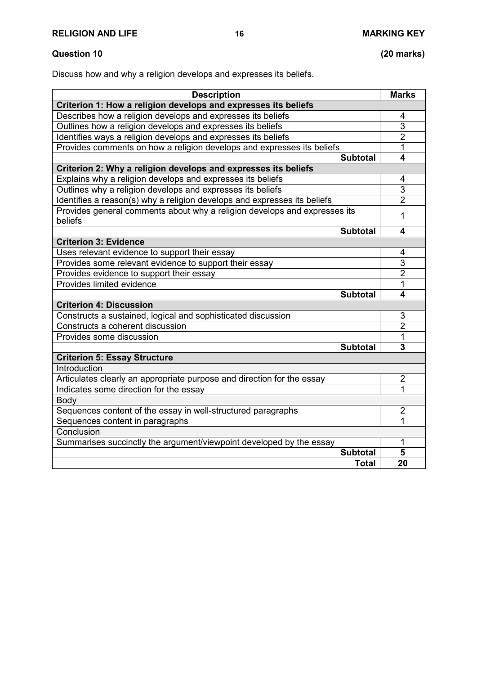Discuss how and why a religion develops and expresses its beliefs.

| <b>Description</b>                                                        |                 | <b>Marks</b>            |
|---------------------------------------------------------------------------|-----------------|-------------------------|
| Criterion 1: How a religion develops and expresses its beliefs            |                 |                         |
| Describes how a religion develops and expresses its beliefs               |                 | 4                       |
| Outlines how a religion develops and expresses its beliefs                |                 | $\overline{3}$          |
| Identifies ways a religion develops and expresses its beliefs             |                 | $\overline{2}$          |
| Provides comments on how a religion develops and expresses its beliefs    |                 | 1                       |
|                                                                           | <b>Subtotal</b> | $\overline{\mathbf{4}}$ |
| Criterion 2: Why a religion develops and expresses its beliefs            |                 |                         |
| Explains why a religion develops and expresses its beliefs                |                 | 4                       |
| Outlines why a religion develops and expresses its beliefs                |                 | $\overline{3}$          |
| Identifies a reason(s) why a religion develops and expresses its beliefs  |                 | $\overline{2}$          |
| Provides general comments about why a religion develops and expresses its |                 | 1                       |
| beliefs                                                                   |                 |                         |
|                                                                           | <b>Subtotal</b> | 4                       |
| <b>Criterion 3: Evidence</b>                                              |                 |                         |
| Uses relevant evidence to support their essay                             |                 | 4                       |
| Provides some relevant evidence to support their essay                    |                 | $\overline{3}$          |
| Provides evidence to support their essay                                  |                 | $\overline{2}$          |
| Provides limited evidence                                                 |                 | 1                       |
|                                                                           | <b>Subtotal</b> | 4                       |
| <b>Criterion 4: Discussion</b>                                            |                 |                         |
| Constructs a sustained, logical and sophisticated discussion              |                 | 3                       |
| Constructs a coherent discussion                                          |                 | $\overline{2}$          |
| Provides some discussion                                                  |                 | 1                       |
|                                                                           | <b>Subtotal</b> | 3                       |
| <b>Criterion 5: Essay Structure</b>                                       |                 |                         |
| Introduction                                                              |                 |                         |
| Articulates clearly an appropriate purpose and direction for the essay    |                 | $\overline{2}$          |
| Indicates some direction for the essay                                    |                 | 1                       |
| Body                                                                      |                 |                         |
| Sequences content of the essay in well-structured paragraphs              |                 | $\overline{2}$          |
| Sequences content in paragraphs                                           |                 | 1                       |
| Conclusion                                                                |                 |                         |
| Summarises succinctly the argument/viewpoint developed by the essay       |                 | 1                       |
|                                                                           | <b>Subtotal</b> | 5                       |
|                                                                           | <b>Total</b>    | 20                      |